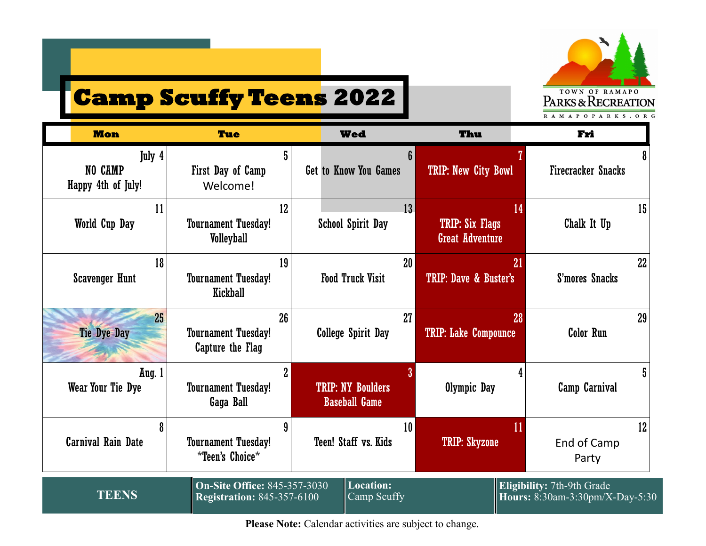

# **Camp Scuffy Teens 2022**

| <b>Mon</b>                              | <b>Tue</b>                                                               | <b>Wed</b>                                       |                                 | Thu                                              | Fri                                                           |    |
|-----------------------------------------|--------------------------------------------------------------------------|--------------------------------------------------|---------------------------------|--------------------------------------------------|---------------------------------------------------------------|----|
| July 4<br>NO CAMP<br>Happy 4th of July! | First Day of Camp<br>Welcome!                                            | <b>Get to Know You Games</b>                     |                                 | <b>TRIP: New City Bowl</b>                       | <b>Firecracker Snacks</b>                                     |    |
| 11<br>World Cup Day                     | 12<br><b>Tournament Tuesday!</b><br><b>Volleyball</b>                    | <b>School Spirit Day</b>                         | 13                              | <b>TRIP: Six Flags</b><br><b>Great Adventure</b> | 14<br>Chalk It Up                                             | 15 |
| 18<br><b>Scavenger Hunt</b>             | 19<br><b>Tournament Tuesday!</b><br>Kickball                             | 20 <sub>2</sub><br><b>Food Truck Visit</b>       |                                 | 21<br>TRIP: Dave & Buster's                      | S'mores Snacks                                                | 22 |
| 25<br><b>Tie Dye Day</b>                | 26<br><b>Tournament Tuesday!</b><br>Capture the Flag                     | <b>College Spirit Day</b>                        | 27                              | 28<br><b>TRIP: Lake Compounce</b>                | Color Run                                                     | 29 |
| Aug. 1<br>Wear Your Tie Dye             | $\overline{2}$<br><b>Tournament Tuesday!</b><br>Gaga Ball                | <b>TRIP: NY Boulders</b><br><b>Baseball Game</b> |                                 | Olympic Day                                      | 4<br><b>Camp Carnival</b>                                     |    |
| 8<br><b>Carnival Rain Date</b>          | <b>Tournament Tuesday!</b><br><i>*Teen's Choice*</i>                     | Teen! Staff vs. Kids                             | 10 <sup>°</sup>                 | 11<br><b>TRIP: Skyzone</b>                       | End of Camp<br>Party                                          | 12 |
| <b>TEENS</b>                            | <b>On-Site Office: 845-357-3030</b><br><b>Registration: 845-357-6100</b> |                                                  | <b>Location:</b><br>Camp Scuffy |                                                  | Eligibility: 7th-9th Grade<br>Hours: 8:30am-3:30pm/X-Day-5:30 |    |

Please Note: Calendar activities are subject to change.